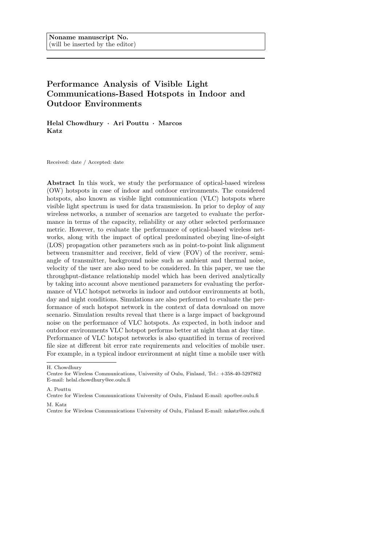# **Performance Analysis of Visible Light Communications-Based Hotspots in Indoor and Outdoor Environments**

**Helal Chowdhury** *·* **Ari Pouttu** *·* **Marcos Katz**

Received: date / Accepted: date

**Abstract** In this work, we study the performance of optical-based wireless (OW) hotspots in case of indoor and outdoor environments. The considered hotspots, also known as visible light communication (VLC) hotspots where visible light spectrum is used for data transmission. In prior to deploy of any wireless networks, a number of scenarios are targeted to evaluate the performance in terms of the capacity, reliability or any other selected performance metric. However, to evaluate the performance of optical-based wireless networks, along with the impact of optical predominated obeying line-of-sight (LOS) propagation other parameters such as in point-to-point link alignment between transmitter and receiver, field of view (FOV) of the receiver, semiangle of transmitter, background noise such as ambient and thermal noise, velocity of the user are also need to be considered. In this paper, we use the throughput-distance relationship model which has been derived analytically by taking into account above mentioned parameters for evaluating the performance of VLC hotspot networks in indoor and outdoor environments at both, day and night conditions. Simulations are also performed to evaluate the performance of such hotspot network in the context of data download on move scenario. Simulation results reveal that there is a large impact of background noise on the performance of VLC hotspots. As expected, in both indoor and outdoor environments VLC hotspot performs better at night than at day time. Performance of VLC hotspot networks is also quantified in terms of received file size at different bit error rate requirements and velocities of mobile user. For example, in a typical indoor environment at night time a mobile user with

A. Pouttu

H. Chowdhury

Centre for Wireless Communications, University of Oulu, Finland, Tel.: +358-40-5297862 E-mail: helal.chowdhury@ee.oulu.fi

Centre for Wireless Communications University of Oulu, Finland E-mail: apo@ee.oulu.fi M. Katz

Centre for Wireless Communications University of Oulu, Finland E-mail: mkatz@ee.oulu.fi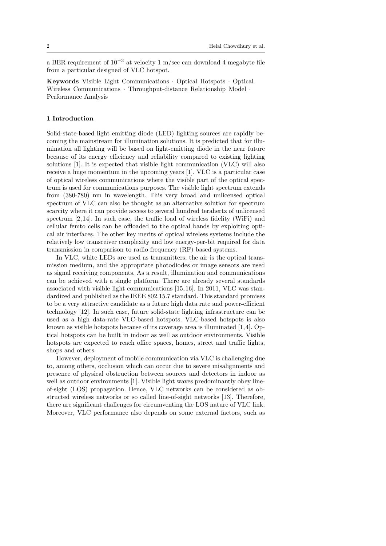a BER requirement of 10*−*<sup>3</sup> at velocity 1 m/sec can download 4 megabyte file from a particular designed of VLC hotspot.

**Keywords** Visible Light Communications *·* Optical Hotspots *·* Optical Wireless Communications *·* Throughput-distance Relationship Model *·* Performance Analysis

# **1 Introduction**

Solid-state-based light emitting diode (LED) lighting sources are rapidly becoming the mainstream for illumination solutions. It is predicted that for illumination all lighting will be based on light-emitting diode in the near future because of its energy efficiency and reliability compared to existing lighting solutions [1]. It is expected that visible light communication (VLC) will also receive a huge momentum in the upcoming years [1]. VLC is a particular case of optical wireless communications where the visible part of the optical spectrum is used for communications purposes. The visible light spectrum extends from (380-780) nm in wavelength. This very broad and unlicensed optical spectrum of VLC can also be thought as an alternative solution for spectrum scarcity where it can provide access to several hundred terahertz of unlicensed spectrum [2, 14]. In such case, the traffic load of wireless fidelity (WiFi) and cellular femto cells can be offloaded to the optical bands by exploiting optical air interfaces. The other key merits of optical wireless systems include the relatively low transceiver complexity and low energy-per-bit required for data transmission in comparison to radio frequency (RF) based systems.

In VLC, white LEDs are used as transmitters; the air is the optical transmission medium, and the appropriate photodiodes or image sensors are used as signal receiving components. As a result, illumination and communications can be achieved with a single platform. There are already several standards associated with visible light communications [15, 16]. In 2011, VLC was standardized and published as the IEEE 802.15.7 standard. This standard promises to be a very attractive candidate as a future high data rate and power-efficient technology [12]. In such case, future solid-state lighting infrastructure can be used as a high data-rate VLC-based hotspots. VLC-based hotspots is also known as visible hotspots because of its coverage area is illuminated [1, 4]. Optical hotspots can be built in indoor as well as outdoor environments. Visible hotspots are expected to reach office spaces, homes, street and traffic lights, shops and others.

However, deployment of mobile communication via VLC is challenging due to, among others, occlusion which can occur due to severe misalignments and presence of physical obstruction between sources and detectors in indoor as well as outdoor environments [1]. Visible light waves predominantly obey lineof-sight (LOS) propagation. Hence, VLC networks can be considered as obstructed wireless networks or so called line-of-sight networks [13]. Therefore, there are significant challenges for circumventing the LOS nature of VLC link. Moreover, VLC performance also depends on some external factors, such as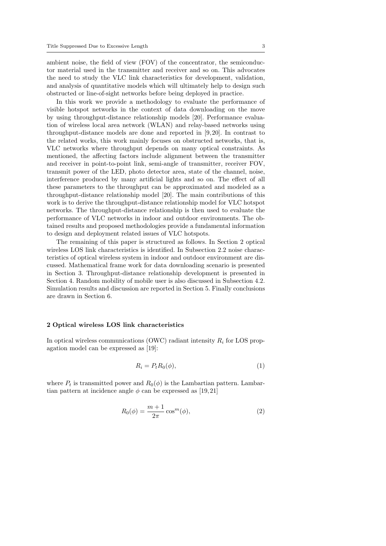ambient noise, the field of view (FOV) of the concentrator, the semiconductor material used in the transmitter and receiver and so on. This advocates the need to study the VLC link characteristics for development, validation, and analysis of quantitative models which will ultimately help to design such obstructed or line-of-sight networks before being deployed in practice.

In this work we provide a methodology to evaluate the performance of visible hotspot networks in the context of data downloading on the move by using throughput-distance relationship models [20]. Performance evaluation of wireless local area network (WLAN) and relay-based networks using throughput-distance models are done and reported in [9, 20]. In contrast to the related works, this work mainly focuses on obstructed networks, that is, VLC networks where throughput depends on many optical constraints. As mentioned, the affecting factors include alignment between the transmitter and receiver in point-to-point link, semi-angle of transmitter, receiver FOV, transmit power of the LED, photo detector area, state of the channel, noise, interference produced by many artificial lights and so on. The effect of all these parameters to the throughput can be approximated and modeled as a throughput-distance relationship model [20]. The main contributions of this work is to derive the throughput-distance relationship model for VLC hotspot networks. The throughput-distance relationship is then used to evaluate the performance of VLC networks in indoor and outdoor environments. The obtained results and proposed methodologies provide a fundamental information to design and deployment related issues of VLC hotspots.

The remaining of this paper is structured as follows. In Section 2 optical wireless LOS link characteristics is identified. In Subsection 2.2 noise characteristics of optical wireless system in indoor and outdoor environment are discussed. Mathematical frame work for data downloading scenario is presented in Section 3. Throughput-distance relationship development is presented in Section 4. Random mobility of mobile user is also discussed in Subsection 4.2. Simulation results and discussion are reported in Section 5. Finally conclusions are drawn in Section 6.

# **2 Optical wireless LOS link characteristics**

In optical wireless communications (OWC) radiant intensity  $R_i$  for LOS propagation model can be expressed as [19]:

$$
R_i = P_t R_0(\phi),\tag{1}
$$

where  $P_t$  is transmitted power and  $R_0(\phi)$  is the Lambartian pattern. Lambartian pattern at incidence angle  $\phi$  can be expressed as [19, 21]

$$
R_0(\phi) = \frac{m+1}{2\pi} \cos^m(\phi),\tag{2}
$$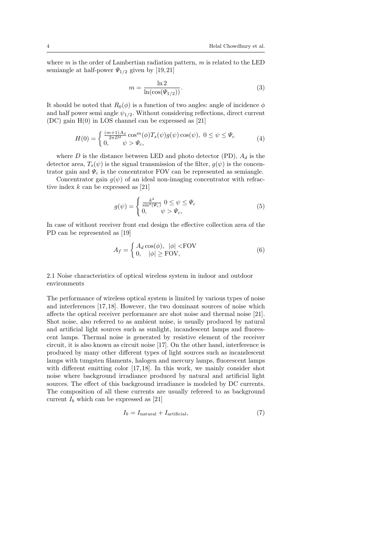where *m* is the order of Lambertian radiation pattern, *m* is related to the LED semiangle at half-power  $\Psi_{1/2}$  given by [19,21]

$$
m = \frac{\ln 2}{\ln(\cos(\Psi_{1/2}))}.\tag{3}
$$

It should be noted that  $R_0(\phi)$  is a function of two angles: angle of incidence  $\phi$ and half power semi angle  $\psi_{1/2}$ . Without considering reflections, direct current (DC) gain H(0) in LOS channel can be expressed as [21]

$$
H(0) = \begin{cases} \frac{(m+1)A_d}{2\pi D^2} \cos^m(\phi) T_s(\psi) g(\psi) \cos(\psi), & 0 \le \psi \le \Psi_c\\ 0, & \psi > \Psi_c, \end{cases}
$$
(4)

where *D* is the distance between LED and photo detector (PD),  $A_d$  is the detector area,  $T_s(\psi)$  is the signal transmission of the filter,  $q(\psi)$  is the concentrator gain and  $\Psi_c$  is the concentrator FOV can be represented as semiangle.

Concentrator gain  $g(\psi)$  of an ideal non-imaging concentrator with refractive index *k* can be expressed as [21]

$$
g(\psi) = \begin{cases} \frac{k^2}{\sin^2(\Psi_c)} & 0 \le \psi \le \Psi_c \\ 0, & \psi > \Psi_c, \end{cases}
$$
 (5)

In case of without receiver front end design the effective collection area of the PD can be represented as [19]

$$
A_f = \begin{cases} A_d \cos(\phi), & |\phi| < \text{FOV} \\ 0, & |\phi| \ge \text{FOV}, \end{cases}
$$
 (6)

2.1 Noise characteristics of optical wireless system in indoor and outdoor environments

The performance of wireless optical system is limited by various types of noise and interferences [17, 18]. However, the two dominant sources of noise which affects the optical receiver performance are shot noise and thermal noise [21]. Shot noise, also referred to as ambient noise, is usually produced by natural and artificial light sources such as sunlight, incandescent lamps and fluorescent lamps. Thermal noise is generated by resistive element of the receiver circuit, it is also known as circuit noise [17]. On the other hand, interference is produced by many other different types of light sources such as incandescent lamps with tungsten filaments, halogen and mercury lamps, fluorescent lamps with different emitting color [17,18]. In this work, we mainly consider shot noise where background irradiance produced by natural and artificial light sources. The effect of this background irradiance is modeled by DC currents. The composition of all these currents are usually refereed to as background current  $I_b$  which can be expressed as [21]

$$
I_b = I_{\text{natural}} + I_{\text{artificial}},\tag{7}
$$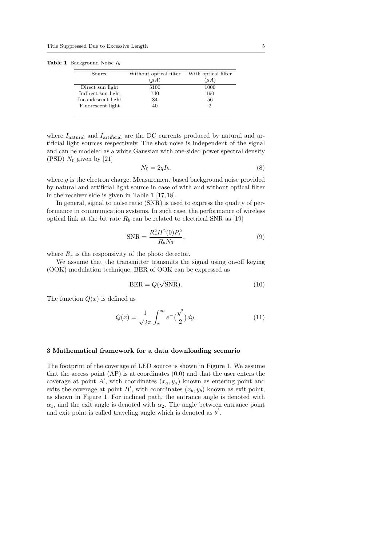|  | <b>Table 1</b> Background Noise $I_b$ |  |  |
|--|---------------------------------------|--|--|
|--|---------------------------------------|--|--|

| Source             | Without optical filter | With optical filter |
|--------------------|------------------------|---------------------|
|                    | $(\mu A)$              | $(\mu A)$           |
| Direct sun light   | 5100                   | 1000                |
| Indirect sun light | 740                    | 190                 |
| Incandescent light | 84                     | 56                  |
| Fluorescent light  | 40                     |                     |
|                    |                        |                     |

where  $I_{\text{natural}}$  and  $I_{\text{artificial}}$  are the DC currents produced by natural and artificial light sources respectively. The shot noise is independent of the signal and can be modeled as a white Gaussian with one-sided power spectral density (PSD)  $N_0$  given by [21]

$$
N_0 = 2qI_b,\t\t(8)
$$

where *q* is the electron charge. Measurement based background noise provided by natural and artificial light source in case of with and without optical filter in the receiver side is given in Table 1 [17, 18].

In general, signal to noise ratio (SNR) is used to express the quality of performance in communication systems. In such case, the performance of wireless optical link at the bit rate  $R_b$  can be related to electrical SNR as [19]

$$
SNR = \frac{R_r^2 H^2(0)P_t^2}{R_b N_0},\tag{9}
$$

where  $R_r$  is the responsivity of the photo detector.

We assume that the transmitter transmits the signal using on-off keying (OOK) modulation technique. BER of OOK can be expressed as

$$
BER = Q(\sqrt{SNR}).\tag{10}
$$

The function  $Q(x)$  is defined as

$$
Q(x) = \frac{1}{\sqrt{2\pi}} \int_x^{\infty} e^{-\left(\frac{y^2}{2}\right) dy}.
$$
 (11)

## **3 Mathematical framework for a data downloading scenario**

The footprint of the coverage of LED source is shown in Figure 1. We assume that the access point  $AP$ ) is at coordinates  $(0,0)$  and that the user enters the coverage at point  $A'$ , with coordinates  $(x_a, y_a)$  known as entering point and exits the coverage at point  $B'$ , with coordinates  $(x_b, y_b)$  known as exit point, as shown in Figure 1. For inclined path, the entrance angle is denoted with  $\alpha_1$ , and the exit angle is denoted with  $\alpha_2$ . The angle between entrance point and exit point is called traveling angle which is denoted as  $\theta'$ .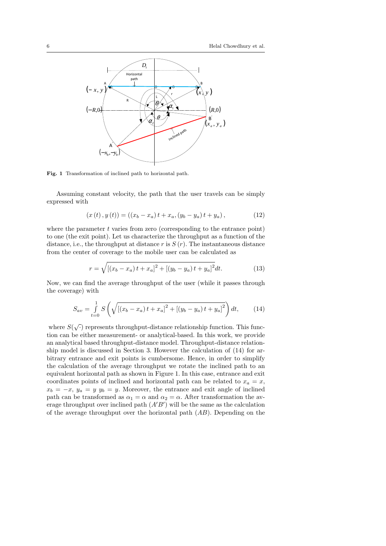

**Fig. 1** Transformation of inclined path to horizontal path.

Assuming constant velocity, the path that the user travels can be simply expressed with

$$
(x(t), y(t)) = ((x_b - x_a)t + x_a, (y_b - y_a)t + y_a), \qquad (12)
$$

where the parameter *t* varies from zero (corresponding to the entrance point) to one (the exit point). Let us characterize the throughput as a function of the distance, i.e., the throughput at distance  $r$  is  $S(r)$ . The instantaneous distance from the center of coverage to the mobile user can be calculated as

$$
r = \sqrt{\left[ (x_b - x_a)t + x_a \right]^2 + \left[ (y_b - y_a)t + y_a \right]^2} dt. \tag{13}
$$

Now, we can find the average throughput of the user (while it passes through the coverage) with

$$
S_{av} = \int_{t=0}^{1} S\left(\sqrt{\left[\left(x_b - x_a\right)t + x_a\right]^2 + \left[\left(y_b - y_a\right)t + y_a\right]^2}\right) dt,\tag{14}
$$

where  $S(\sqrt{\cdot})$  represents throughput-distance relationship function. This function can be either measurement- or analytical-based. In this work, we provide an analytical based throughput-distance model. Throughput-distance relationship model is discussed in Section 3. However the calculation of (14) for arbitrary entrance and exit points is cumbersome. Hence, in order to simplify the calculation of the average throughput we rotate the inclined path to an equivalent horizontal path as shown in Figure 1. In this case, entrance and exit coordinates points of inclined and horizontal path can be related to  $x_a = x$ ,  $x_b = -x$ ,  $y_a = y$ ,  $y_b = y$ . Moreover, the entrance and exit angle of inclined path can be transformed as  $\alpha_1 = \alpha$  and  $\alpha_2 = \alpha$ . After transformation the average throughput over inclined path (*A′B′* ) will be the same as the calculation of the average throughput over the horizontal path (*AB*). Depending on the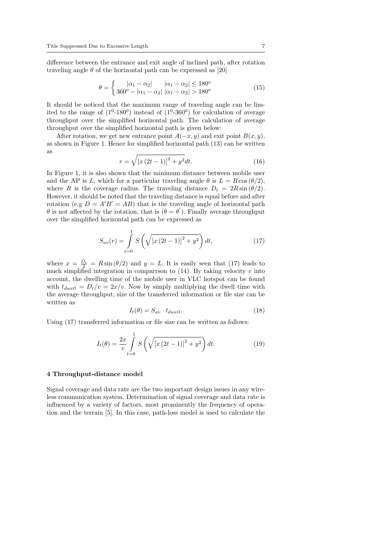difference between the entrance and exit angle of inclined path, after rotation traveling angle  $\theta$  of the horizontal path can be expressed as [20]

$$
\theta = \begin{cases} |\alpha_1 - \alpha_2| & |\alpha_1 - \alpha_2| \le 180^o \\ 360^o - |\alpha_1 - \alpha_2| & |\alpha_1 - \alpha_2| > 180^o \end{cases}
$$
(15)

It should be noticed that the maximum range of traveling angle can be limited to the range of  $(1^0-180^0)$  instead of  $(1^0-360^0)$  for calculation of average throughput over the simplified horizontal path. The calculation of average throughput over the simplified horizontal path is given below:

After rotation, we get new entrance point  $A(-x, y)$  and exit point  $B(x, y)$ , as shown in Figure 1. Hence for simplified horizontal path (13) can be written as

$$
r = \sqrt{\left[x\left(2t - 1\right)\right]^2 + y^2} dt. \tag{16}
$$

In Figure 1, it is also shown that the minimum distance between mobile user and the AP is *L*, which for a particular traveling angle  $\theta$  is  $L = R \cos(\theta/2)$ , where *R* is the coverage radius. The traveling distance  $D_t = 2R \sin(\theta/2)$ . However, it should be noted that the traveling distance is equal before and after rotation (e.g  $D = A'B' = AB$ ) that is the traveling angle of horizontal path *θ* is not affected by the rotation, that is  $(\theta = \theta')$ . Finally average throughput over the simplified horizontal path can be expressed as

$$
S_{av}(r) = \int_{t=0}^{1} S\left(\sqrt{\left[x\left(2t-1\right)\right]^2 + y^2}\right) dt,\tag{17}
$$

where  $x = \frac{D_t}{2} = R \sin (\theta/2)$  and  $y = L$ . It is easily seen that (17) leads to much simplified integration in comparrson to  $(14)$ . By taking velocity  $v$  into account, the dwelling time of the mobile user in VLC hotspot can be found with  $t_{dwell} = D_t/v = 2x/v$ . Now by simply multiplying the dwell time with the average throughput, size of the transferred information or file size can be written as

$$
I_t(\theta) = S_{av} \cdot t_{dwell}.\tag{18}
$$

Using (17) transferred information or file size can be written as follows:

$$
I_t(\theta) = \frac{2x}{v} \int_{t=0}^{1} S\left(\sqrt{\left[x\left(2t-1\right)\right]^2 + y^2}\right) dt.
$$
 (19)

#### **4 Throughput-distance model**

Signal coverage and data rate are the two important design issues in any wireless communication system. Determination of signal coverage and data rate is influenced by a variety of factors, most prominently the frequency of operation and the terrain [5]. In this case, path-loss model is used to calculate the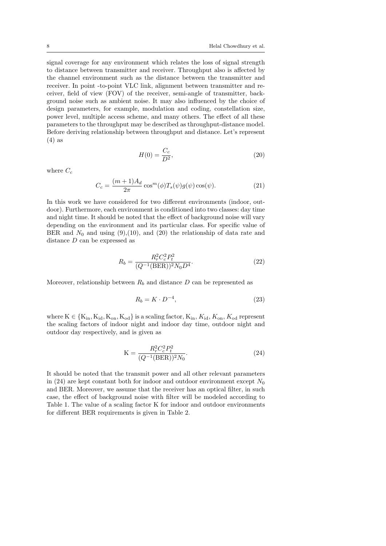signal coverage for any environment which relates the loss of signal strength to distance between transmitter and receiver. Throughput also is affected by the channel environment such as the distance between the transmitter and receiver. In point -to-point VLC link, alignment between transmitter and receiver, field of view (FOV) of the receiver, semi-angle of transmitter, background noise such as ambient noise. It may also influenced by the choice of design parameters, for example, modulation and coding, constellation size, power level, multiple access scheme, and many others. The effect of all these parameters to the throughput may be described as throughput-distance model. Before deriving relationship between throughput and distance. Let's represent (4) as

$$
H(0) = \frac{C_c}{D^2},\tag{20}
$$

where  $C_c$ 

$$
C_c = \frac{(m+1)A_d}{2\pi} \cos^m(\phi) T_s(\psi) g(\psi) \cos(\psi). \tag{21}
$$

In this work we have considered for two different environments (indoor, outdoor). Furthermore, each environment is conditioned into two classes: day time and night time. It should be noted that the effect of background noise will vary depending on the environment and its particular class. For specific value of BER and  $N_0$  and using  $(9),(10)$ , and  $(20)$  the relationship of data rate and distance *D* can be expressed as

$$
R_b = \frac{R_r^2 C_c^2 P_t^2}{(Q^{-1}(\text{BER}))^2 N_0 D^4}.
$$
\n(22)

Moreover, relationship between  $R_b$  and distance  $D$  can be represented as

$$
R_b = K \cdot D^{-4},\tag{23}
$$

where  $K \in \{K_{in}, K_{id}, K_{on}, K_{od}\}\$  is a scaling factor,  $K_{in}, K_{id}, K_{on}, K_{od}$  represent the scaling factors of indoor night and indoor day time, outdoor night and outdoor day respectively, and is given as

$$
K = \frac{R_r^2 C_c^2 P_t^2}{(Q^{-1} (BER))^2 N_0}.
$$
\n(24)

It should be noted that the transmit power and all other relevant parameters in (24) are kept constant both for indoor and outdoor environment except  $N_0$ and BER. Moreover, we assume that the receiver has an optical filter, in such case, the effect of background noise with filter will be modeled according to Table 1. The value of a scaling factor K for indoor and outdoor environments for different BER requirements is given in Table 2.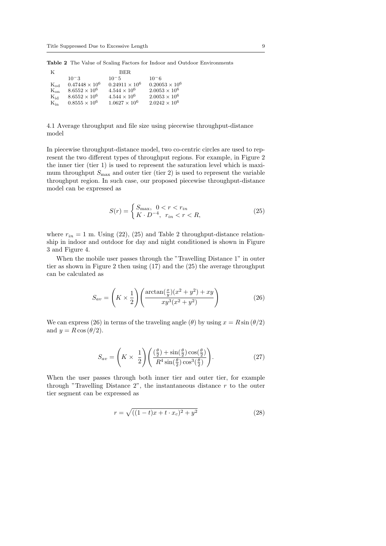**Table 2** The Value of Scaling Factors for Indoor and Outdoor Environments

| K              |                       | BER.                    |                       |
|----------------|-----------------------|-------------------------|-----------------------|
|                | $10^{-3}$             | $10 - 5$                | $10 - 6$              |
| $K_{od}$       | $0.47448 \times 10^6$ | $0.24911 \times 10^{6}$ | $0.20053 \times 10^6$ |
| $K_{\alpha n}$ | $8.6552 \times 10^6$  | $4.544 \times 10^6$     | $2.0053 \times 10^6$  |
| $\rm K_{id}$   | $8.6552 \times 10^6$  | $4.544 \times 10^{6}$   | $2.0053 \times 10^6$  |
| $K_{\rm in}$   | $0.8555 \times 10^6$  | $1.0627 \times 10^{6}$  | $2.0242 \times 10^6$  |

4.1 Average throughput and file size using piecewise throughput-distance model

In piecewise throughput-distance model, two co-centric circles are used to represent the two different types of throughput regions. For example, in Figure 2 the inner tier (tier 1) is used to represent the saturation level which is maximum throughput  $S_{\text{max}}$  and outer tier (tier 2) is used to represent the variable throughput region. In such case, our proposed piecewise throughput-distance model can be expressed as

$$
S(r) = \begin{cases} S_{\text{max}}, & 0 < r < r_{in} \\ K \cdot D^{-4}, & r_{in} < r < R, \end{cases} \tag{25}
$$

where  $r_{in} = 1$  m. Using (22), (25) and Table 2 throughput-distance relationship in indoor and outdoor for day and night conditioned is shown in Figure 3 and Figure 4.

When the mobile user passes through the "Travelling Distance 1" in outer tier as shown in Figure 2 then using (17) and the (25) the average throughput can be calculated as

$$
S_{av} = \left(K \times \frac{1}{2}\right) \left(\frac{\arctan(\frac{x}{y})(x^2 + y^2) + xy}{xy^3(x^2 + y^2)}\right) \tag{26}
$$

We can express (26) in terms of the traveling angle ( $\theta$ ) by using  $x = R \sin(\theta/2)$ and  $y = R \cos(\theta/2)$ .

$$
S_{av} = \left(K \times \frac{1}{2}\right) \left(\frac{\left(\frac{\theta}{2}\right) + \sin\left(\frac{\theta}{2}\right)\cos\left(\frac{\theta}{2}\right)}{R^4 \sin\left(\frac{\theta}{2}\right)\cos^3\left(\frac{\theta}{2}\right)}\right).
$$
 (27)

When the user passes through both inner tier and outer tier, for example through "Travelling Distance 2", the instantaneous distance *r* to the outer tier segment can be expressed as

$$
r = \sqrt{((1-t)x + t \cdot x_c)^2 + y^2}
$$
 (28)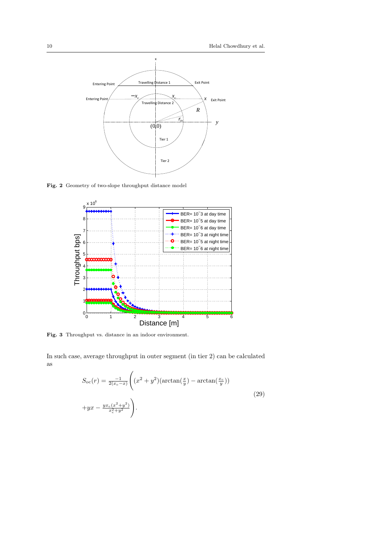

**Fig. 2** Geometry of two-slope throughput distance model



**Fig. 3** Throughput vs. distance in an indoor environment.

In such case, average throughput in outer segment (in tier 2) can be calculated as

$$
S_{\rm oc}(r) = \frac{-1}{2(x_c - x)} \left( (x^2 + y^2)(\arctan(\frac{x}{y}) - \arctan(\frac{x_c}{y})) + yx - \frac{yx_c(x^2 + y^2)}{x_c^2 + y^2} \right).
$$
\n(29)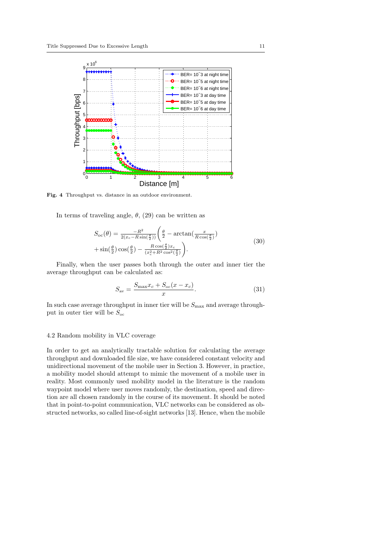

**Fig. 4** Throughput vs. distance in an outdoor environment.

In terms of traveling angle,  $\theta$ , (29) can be written as

$$
S_{\rm oc}(\theta) = \frac{-R^2}{2(x_c - R\sin(\frac{\theta}{2}))} \left(\frac{\theta}{2} - \arctan(\frac{x}{R\cos(\frac{\theta}{2})}) + \sin(\frac{\theta}{2})\cos(\frac{\theta}{2}) - \frac{R\cos(\frac{\theta}{2})x_c}{(x_c^2 + R^2\cos^2(\frac{\theta}{2})}\right).
$$
\n(30)

Finally, when the user passes both through the outer and inner tier the average throughput can be calculated as:

$$
S_{\rm av} = \frac{S_{\rm max} x_c + S_{\rm oc}(x - x_c)}{x}.
$$
 (31)

In such case average throughput in inner tier will be  $S_{\text{max}}$  and average throughput in outer tier will be *S*oc

#### 4.2 Random mobility in VLC coverage

In order to get an analytically tractable solution for calculating the average throughput and downloaded file size, we have considered constant velocity and unidirectional movement of the mobile user in Section 3. However, in practice, a mobility model should attempt to mimic the movement of a mobile user in reality. Most commonly used mobility model in the literature is the random waypoint model where user moves randomly, the destination, speed and direction are all chosen randomly in the course of its movement. It should be noted that in point-to-point communication, VLC networks can be considered as obstructed networks, so called line-of-sight networks [13]. Hence, when the mobile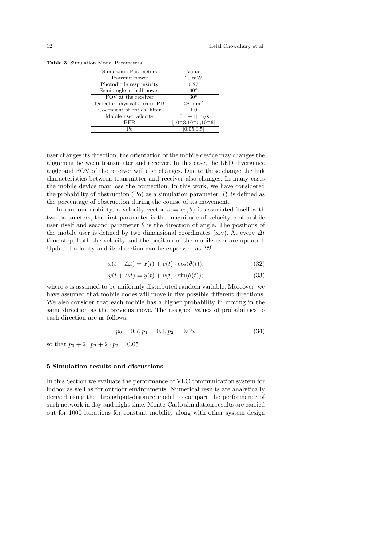**Table 3** Simulation Model Parameters

| Simulation Parameters         | Value                |
|-------------------------------|----------------------|
| Transmit power                | $20 \text{ mW}$      |
| Photodiode responsivity       | 0.27                 |
| Semi-angle at half power      | 60 <sup>o</sup>      |
| FOV at the receiver           | $30^o$               |
| Detector physical area of PD  | $28 \text{ mm}^2$    |
| Coefficient of optical filter | 1.0                  |
| Mobile user velocity          | $[0.4 - 1]$ m/s      |
| BER                           | $[10-3, 10-5, 10-6]$ |
| Pο                            | [0.05, 0.5]          |

user changes its direction, the orientation of the mobile device may changes the alignment between transmitter and receiver. In this case, the LED divergence angle and FOV of the receiver will also changes. Due to these change the link characteristics between transmitter and receiver also changes. In many cases the mobile device may lose the connection. In this work, we have considered the probability of obstruction (Po) as a simulation parameter.  $P<sub>o</sub>$  is defined as the percentage of obstruction during the course of its movement.

In random mobility, a velocity vector  $v = (v, \theta)$  is associated itself with two parameters, the first parameter is the magnitude of velocity *v* of mobile user itself and second parameter  $\theta$  is the direction of angle. The positions of the mobile user is defined by two dimensional coordinates (x,y). At every *∆t* time step, both the velocity and the position of the mobile user are updated. Updated velocity and its direction can be expressed as [22]

$$
x(t + \triangle t) = x(t) + v(t) \cdot \cos(\theta(t)).
$$
\n(32)

$$
y(t + \triangle t) = y(t) + v(t) \cdot \sin(\theta(t));
$$
\n(33)

where  $v$  is assumed to be uniformly distributed random variable. Moreover, we have assumed that mobile nodes will move in five possible different directions. We also consider that each mobile has a higher probability in moving in the same direction as the previous move. The assigned values of probabilities to each direction are as follows:

$$
p_0 = 0.7, p_1 = 0.1, p_2 = 0.05.
$$
 (34)

so that  $p_0 + 2 \cdot p_2 + 2 \cdot p_2 = 0.05$ 

# **5 Simulation results and discussions**

In this Section we evaluate the performance of VLC communication system for indoor as well as for outdoor environments. Numerical results are analytically derived using the throughput-distance model to compare the performance of such network in day and night time. Monte-Carlo simulation results are carried out for 1000 iterations for constant mobility along with other system design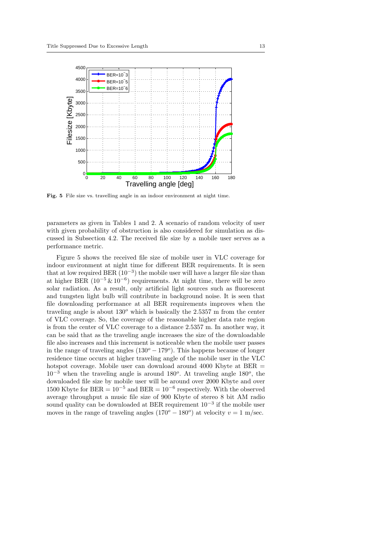

**Fig. 5** File size vs. travelling angle in an indoor environment at night time.

parameters as given in Tables 1 and 2. A scenario of random velocity of user with given probability of obstruction is also considered for simulation as discussed in Subsection 4.2. The received file size by a mobile user serves as a performance metric.

Figure 5 shows the received file size of mobile user in VLC coverage for indoor environment at night time for different BER requirements. It is seen that at low required BER (10*−*<sup>3</sup> ) the mobile user will have a larger file size than at higher BER (10*−*<sup>5</sup> & 10*−*<sup>6</sup> ) requirements. At night time, there will be zero solar radiation. As a result, only artificial light sources such as fluorescent and tungsten light bulb will contribute in background noise. It is seen that file downloading performance at all BER requirements improves when the traveling angle is about 130*<sup>o</sup>* which is basically the 2.5357 m from the center of VLC coverage. So, the coverage of the reasonable higher data rate region is from the center of VLC coverage to a distance 2*.*5357 m. In another way, it can be said that as the traveling angle increases the size of the downloadable file also increases and this increment is noticeable when the mobile user passes in the range of traveling angles (130*<sup>o</sup> −* 179*<sup>o</sup>* ). This happens because of longer residence time occurs at higher traveling angle of the mobile user in the VLC hotspot coverage. Mobile user can download around 4000 Kbyte at  $BER =$ 10*−*<sup>3</sup> when the traveling angle is around 180*<sup>o</sup>* . At traveling angle 180*<sup>o</sup>* , the downloaded file size by mobile user will be around over 2000 Kbyte and over 1500 Kbyte for BER =  $10^{-5}$  and BER =  $10^{-6}$  respectively. With the observed average throughput a music file size of 900 Kbyte of stereo 8 bit AM radio sound quality can be downloaded at BER requirement 10*−*<sup>3</sup> if the mobile user moves in the range of traveling angles  $(170^o - 180^o)$  at velocity  $v = 1$  m/sec.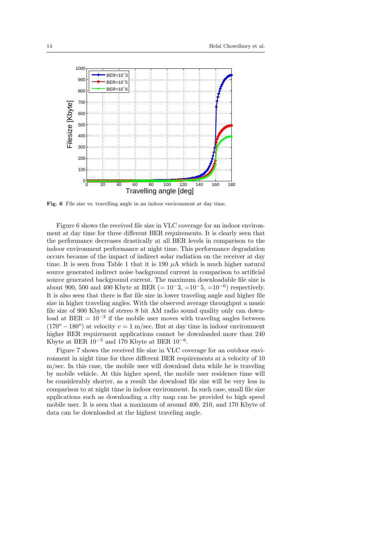

**Fig. 6** File size vs. travelling angle in an indoor environment at day time.

Figure 6 shows the received file size in VLC coverage for an indoor environment at day time for three different BER requirements. It is clearly seen that the performance decreases drastically at all BER levels in comparison to the indoor environment performance at night time. This performance degradation occurs because of the impact of indirect solar radiation on the receiver at day time. It is seen from Table 1 that it is 190  $\mu$ A which is much higher natural source generated indirect noise background current in comparison to artificial source generated background current. The maximum downloadable file size is about 900, 500 and 400 Kbyte at BER (=  $10^{-3}$ , = $10^{-5}$ , = $10^{-6}$ ) respectively. It is also seen that there is flat file size in lower traveling angle and higher file size in higher traveling angles. With the observed average throughput a music file size of 900 Kbyte of stereo 8 bit AM radio sound quality only can download at  $BER = 10^{-3}$  if the mobile user moves with traveling angles between  $(170^o - 180^o)$  at velocity  $v = 1$  m/sec. But at day time in indoor environment higher BER requirement applications cannot be downloaded more than 240 Kbyte at BER 10*−*<sup>5</sup> and 170 Kbyte at BER 10*−*<sup>6</sup> .

Figure 7 shows the received file size in VLC coverage for an outdoor environment in night time for three different BER requirements at a velocity of 10 m/sec. In this case, the mobile user will download data while he is traveling by mobile vehicle. At this higher speed, the mobile user residence time will be considerably shorter, as a result the download file size will be very less in comparison to at night time in indoor environment. In such case, small file size applications such as downloading a city map can be provided to high speed mobile user. It is seen that a maximum of around 400, 210, and 170 Kbyte of data can be downloaded at the highest traveling angle.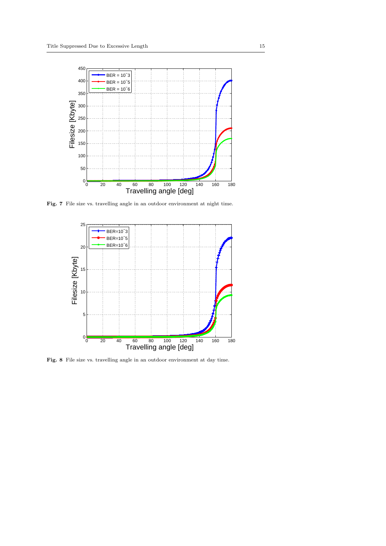

Fig. 7 File size vs. travelling angle in an outdoor environment at night time.



Fig. 8 File size vs. travelling angle in an outdoor environment at day time.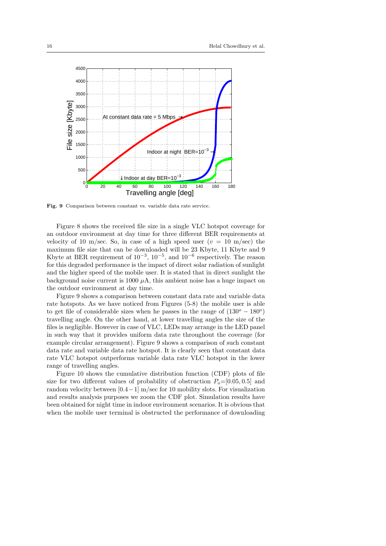

**Fig. 9** Comparison between constant vs. variable data rate service.

Figure 8 shows the received file size in a single VLC hotspot coverage for an outdoor environment at day time for three different BER requirements at velocity of 10 m/sec. So, in case of a high speed user  $(v = 10 \text{ m/sec})$  the maximum file size that can be downloaded will be 23 Kbyte, 11 Kbyte and 9 Kbyte at BER requirement of 10*−*<sup>3</sup> , 10*−*<sup>5</sup> , and 10*−*<sup>6</sup> respectively. The reason for this degraded performance is the impact of direct solar radiation of sunlight and the higher speed of the mobile user. It is stated that in direct sunlight the background noise current is 1000  $\mu$ A, this ambient noise has a huge impact on the outdoor environment at day time.

Figure 9 shows a comparison between constant data rate and variable data rate hotspots. As we have noticed from Figures (5-8) the mobile user is able to get file of considerable sizes when he passes in the range of (130*<sup>o</sup> −* 180*<sup>o</sup>* ) travelling angle. On the other hand, at lower travelling angles the size of the files is negligible. However in case of VLC, LEDs may arrange in the LED panel in such way that it provides uniform data rate throughout the coverage (for example circular arrangement). Figure 9 shows a comparison of such constant data rate and variable data rate hotspot. It is clearly seen that constant data rate VLC hotspot outperforms variable data rate VLC hotspot in the lower range of travelling angles.

Figure 10 shows the cumulative distribution function (CDF) plots of file size for two different values of probability of obstruction  $P_o=[0.05, 0.5]$  and random velocity between [0*.*4*−*1] m/sec for 10 mobility slots. For visualization and results analysis purposes we zoom the CDF plot. Simulation results have been obtained for night time in indoor environment scenarios. It is obvious that when the mobile user terminal is obstructed the performance of downloading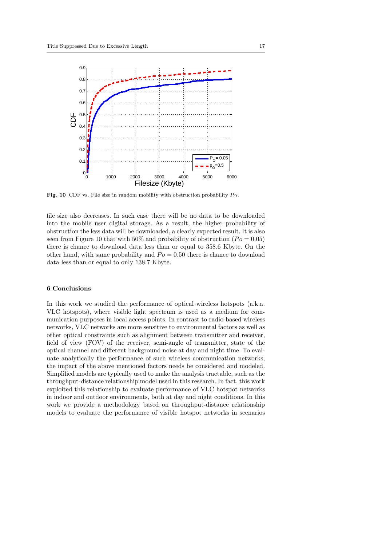

**Fig. 10** CDF vs. File size in random mobility with obstruction probability *PO*.

file size also decreases. In such case there will be no data to be downloaded into the mobile user digital storage. As a result, the higher probability of obstruction the less data will be downloaded, a clearly expected result. It is also seen from Figure 10 that with 50% and probability of obstruction ( $Po = 0.05$ ) there is chance to download data less than or equal to 358*.*6 Kbyte. On the other hand, with same probability and  $Po = 0.50$  there is chance to download data less than or equal to only 138*.*7 Kbyte.

# **6 Conclusions**

In this work we studied the performance of optical wireless hotspots (a.k.a. VLC hotspots), where visible light spectrum is used as a medium for communication purposes in local access points. In contrast to radio-based wireless networks, VLC networks are more sensitive to environmental factors as well as other optical constraints such as alignment between transmitter and receiver, field of view (FOV) of the receiver, semi-angle of transmitter, state of the optical channel and different background noise at day and night time. To evaluate analytically the performance of such wireless communication networks, the impact of the above mentioned factors needs be considered and modeled. Simplified models are typically used to make the analysis tractable, such as the throughput-distance relationship model used in this research. In fact, this work exploited this relationship to evaluate performance of VLC hotspot networks in indoor and outdoor environments, both at day and night conditions. In this work we provide a methodology based on throughput-distance relationship models to evaluate the performance of visible hotspot networks in scenarios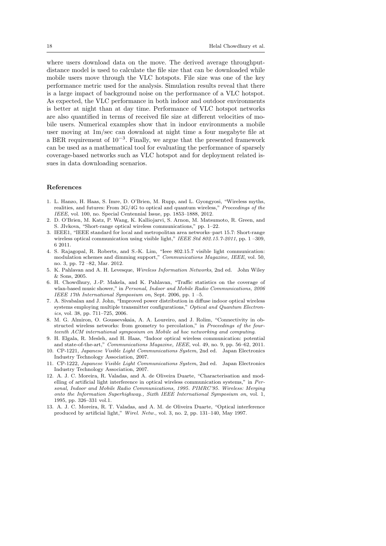where users download data on the move. The derived average throughputdistance model is used to calculate the file size that can be downloaded while mobile users move through the VLC hotspots. File size was one of the key performance metric used for the analysis. Simulation results reveal that there is a large impact of background noise on the performance of a VLC hotspot. As expected, the VLC performance in both indoor and outdoor environments is better at night than at day time. Performance of VLC hotspot networks are also quantified in terms of received file size at different velocities of mobile users. Numerical examples show that in indoor environments a mobile user moving at 1m/sec can download at night time a four megabyte file at a BER requirement of 10*−*<sup>3</sup> . Finally, we argue that the presented framework can be used as a mathematical tool for evaluating the performance of sparsely coverage-based networks such as VLC hotspot and for deployment related issues in data downloading scenarios.

## **References**

- 1. L. Hanzo, H. Haas, S. Imre, D. O'Brien, M. Rupp, and L. Gyongyosi, "Wireless myths, realities, and futures: From 3G/4G to optical and quantum wireless," *Proceedings of the IEEE*, vol. 100, no. Special Centennial Issue, pp. 1853–1888, 2012.
- 2. D. O'Brien, M. Katz, P. Wang, K. Kalliojarvi, S. Arnon, M. Matsumoto, R. Green, and S. JIvkova, "Short-range optical wireless communications," pp. 1–22.
- 3. IEEE1, "IEEE standard for local and metropolitan area networks–part 15.7: Short-range wireless optical communication using visible light," *IEEE Std 802.15.7-2011*, pp. 1 –309, 6 2011.
- 4. S. Rajagopal, R. Roberts, and S.-K. Lim, "Ieee 802.15.7 visible light communication: modulation schemes and dimming support," *Communications Magazine, IEEE*, vol. 50, no. 3, pp. 72 –82, Mar. 2012.
- 5. K. Pahlavan and A. H. Levesque, *Wireless Information Networks*, 2nd ed. John Wiley & Sons, 2005.
- 6. H. Chowdhury, J.-P. Makela, and K. Pahlavan, "Traffic statistics on the coverage of wlan-based music shower," in *Personal, Indoor and Mobile Radio Communications, 2006 IEEE 17th International Symposium on*, Sept. 2006, pp. 1 –5.
- 7. A. Sivabalan and J. John, "Improved power distribution in diffuse indoor optical wireless systems employing multiple transmitter configurations," *Optical and Quantum Electronics*, vol. 38, pp. 711–725, 2006.
- 8. M. G. Almiron, O. Goussevskaia, A. A. Loureiro, and J. Rolim, "Connectivity in obstructed wireless networks: from geometry to percolation," in *Proceedings of the fourteenth ACM international symposium on Mobile ad hoc networking and computing*.
- 9. H. Elgala, R. Mesleh, and H. Haas, "Indoor optical wireless communication: potential and state-of-the-art," *Communications Magazine, IEEE*, vol. 49, no. 9, pp. 56–62, 2011.
- 10. CP-1221, *Japanese Visible Light Communications System*, 2nd ed. Japan Electronics Industry Technology Association, 2007.
- 11. CP-1222, *Japanese Visible Light Communications System*, 2nd ed. Japan Electronics Industry Technology Association, 2007.
- 12. A. J. C. Moreira, R. Valadas, and A. de Oliveira Duarte, "Characterisation and modelling of artificial light interference in optical wireless communication systems," in *Personal, Indoor and Mobile Radio Communications, 1995. PIMRC'95. Wireless: Merging onto the Information Superhighway., Sixth IEEE International Symposium on*, vol. 1, 1995, pp. 326–331 vol.1.
- 13. A. J. C. Moreira, R. T. Valadas, and A. M. de Oliveira Duarte, "Optical interference produced by artificial light," *Wirel. Netw.*, vol. 3, no. 2, pp. 131–140, May 1997.